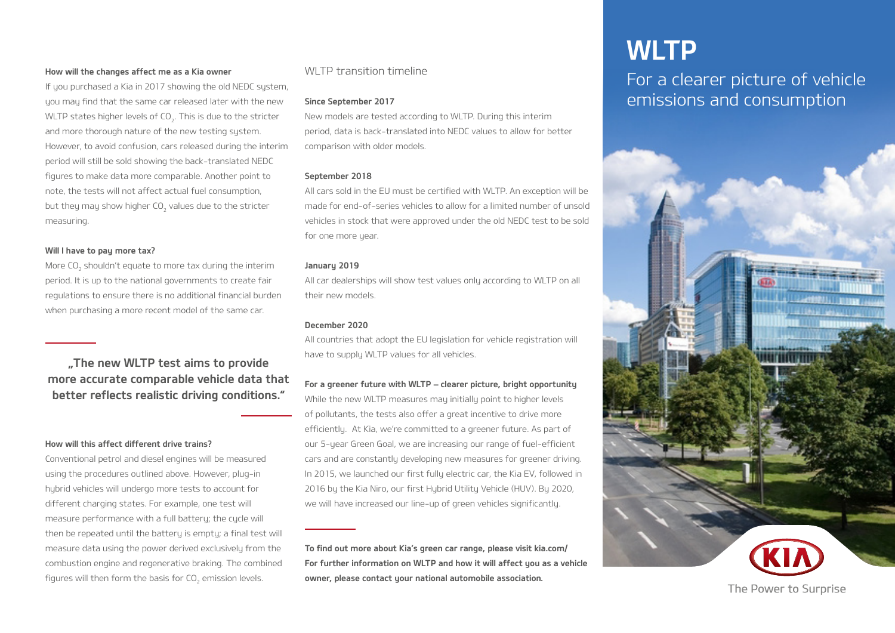#### How will the changes affect me as a Kia owner

If you purchased a Kia in 2017 showing the old NEDC system, you may find that the same car released later with the new WLTP states higher levels of CO<sub>2</sub>. This is due to the stricter and more thorough nature of the new testing system. However, to avoid confusion, cars released during the interim period will still be sold showing the back-translated NEDC figures to make data more comparable. Another point to note, the tests will not affect actual fuel consumption, but they may show higher CO<sub>2</sub> values due to the stricter measuring.

#### Will I have to pay more tax?

More CO<sub>2</sub> shouldn't equate to more tax during the interim period. It is up to the national governments to create fair regulations to ensure there is no additional financial burden when purchasing a more recent model of the same car.

..The new WLTP test aims to provide more accurate comparable vehicle data that better reflects realistic driving conditions."

## How will this affect different drive trains?

Conventional petrol and diesel engines will be measured using the procedures outlined above. However, plug-in hybrid vehicles will undergo more tests to account for different charging states. For example, one test will measure performance with a full battery; the cycle will then be repeated until the battery is empty; a final test will measure data using the power derived exclusively from the combustion engine and regenerative braking. The combined figures will then form the basis for CO<sub>2</sub> emission levels.

# WI TP transition timeline

#### Since September 2017

New models are tested according to WLTP. During this interim period, data is back-translated into NEDC values to allow for better comparison with older models.

#### September 2018

All cars sold in the EU must be certified with WLTP. An exception will be made for end-of-series vehicles to allow for a limited number of unsold vehicles in stock that were approved under the old NEDC test to be sold for one more year.

#### January 2019

All car dealerships will show test values only according to WLTP on all their new models.

#### December 2020

All countries that adopt the EU legislation for vehicle registration will have to supply WLTP values for all vehicles.

#### For a greener future with WLTP – clearer picture, bright opportunity

While the new WLTP measures may initially point to higher levels of pollutants, the tests also offer a great incentive to drive more efficiently. At Kia, we're committed to a greener future. As part of our 5-year Green Goal, we are increasing our range of fuel-efficient cars and are constantly developing new measures for greener driving. In 2015, we launched our first fully electric car, the Kia EV, followed in 2016 by the Kia Niro, our first Hybrid Utility Vehicle (HUV). By 2020, we will have increased our line-up of green vehicles significantly.

To find out more about Kia's green car range, please visit kia.com/ For further information on WLTP and how it will affect you as a vehicle owner, please contact your national automobile association.

# **WLTP**

For a clearer picture of vehicle emissions and consumption



The Power to Surprise